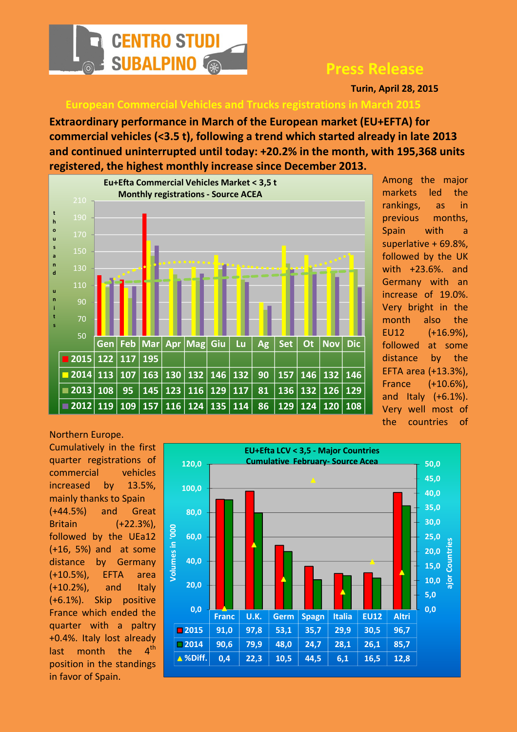

## Press Release

Turin, April 28, 2015

European Commercial Vehicles and Trucks registrations in March 2015

Extraordinary performance in March of the European market (EU+EFTA) for commercial vehicles (<3.5 t), following a trend which started already in late 2013 and continued uninterrupted until today: +20.2% in the month, with 195,368 units registered, the highest monthly increase since December 2013.



Among the major markets led the rankings, as in previous months, Spain with a superlative + 69.8%, followed by the UK with +23.6%. and Germany with an increase of 19.0%. Very bright in the month also the EU12 (+16.9%), followed at some distance by the EFTA area (+13.3%), France (+10.6%), and Italy (+6.1%). Very well most of the countries of

Northern Europe. Cumulatively in the first quarter registrations of commercial vehicles increased by 13.5%, mainly thanks to Spain (+44.5%) and Great Britain (+22.3%), followed by the UEa12 (+16, 5%) and at some distance by Germany (+10.5%), EFTA area  $(+10.2%)$ , and Italy (+6.1%). Skip positive France which ended the quarter with a paltry +0.4%. Italy lost already last month the  $4<sup>th</sup>$ position in the standings in favor of Spain.

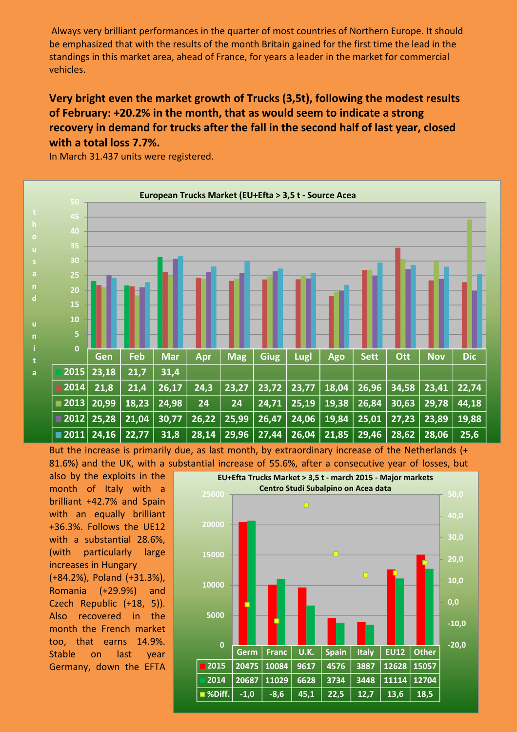Always very brilliant performances in the quarter of most countries of Northern Europe. It should be emphasized that with the results of the month Britain gained for the first time the lead in the standings in this market area, ahead of France, for years a leader in the market for commercial vehicles.

## Very bright even the market growth of Trucks (3,5t), following the modest results of February: +20.2% in the month, that as would seem to indicate a strong recovery in demand for trucks after the fall in the second half of last year, closed with a total loss 7.7%.

In March 31.437 units were registered.



But the increase is primarily due, as last month, by extraordinary increase of the Netherlands (+ 81.6%) and the UK, with a substantial increase of 55.6%, after a consecutive year of losses, but

also by the exploits in the month of Italy with a brilliant +42.7% and Spain with an equally brilliant +36.3%. Follows the UE12 with a substantial 28.6%, (with particularly large increases in Hungary (+84.2%), Poland (+31.3%), Romania (+29.9%) and Czech Republic (+18, 5)). Also recovered in the month the French market too, that earns 14.9%. Stable on last year Germany, down the EFTA

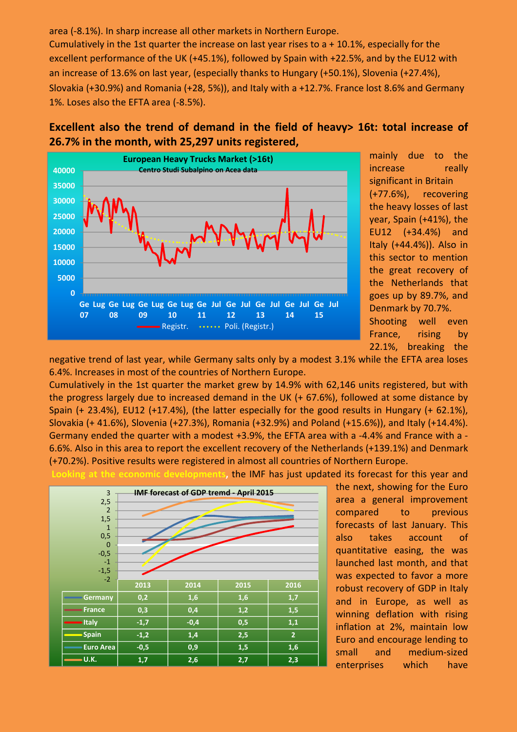area (-8.1%). In sharp increase all other markets in Northern Europe. Cumulatively in the 1st quarter the increase on last year rises to a + 10.1%, especially for the excellent performance of the UK (+45.1%), followed by Spain with +22.5%, and by the EU12 with an increase of 13.6% on last year, (especially thanks to Hungary (+50.1%), Slovenia (+27.4%), Slovakia (+30.9%) and Romania (+28, 5%)), and Italy with a +12.7%. France lost 8.6% and Germany 1%. Loses also the EFTA area (-8.5%).

## Excellent also the trend of demand in the field of heavy> 16t: total increase of 26.7% in the month, with 25,297 units registered,



mainly due to the increase really significant in Britain (+77.6%), recovering the heavy losses of last year, Spain (+41%), the EU12 (+34.4%) and Italy (+44.4%)). Also in this sector to mention the great recovery of the Netherlands that goes up by 89.7%, and Denmark by 70.7%. Shooting well even France, rising by 22.1%, breaking the

negative trend of last year, while Germany salts only by a modest 3.1% while the EFTA area loses 6.4%. Increases in most of the countries of Northern Europe.

Cumulatively in the 1st quarter the market grew by 14.9% with 62,146 units registered, but with the progress largely due to increased demand in the UK (+ 67.6%), followed at some distance by Spain (+ 23.4%), EU12 (+17.4%), (the latter especially for the good results in Hungary (+ 62.1%), Slovakia (+ 41.6%), Slovenia (+27.3%), Romania (+32.9%) and Poland (+15.6%)), and Italy (+14.4%). Germany ended the quarter with a modest +3.9%, the EFTA area with a -4.4% and France with a - 6.6%. Also in this area to report the excellent recovery of the Netherlands (+139.1%) and Denmark (+70.2%). Positive results were registered in almost all countries of Northern Europe.

at the economic developments, the IMF has just updated its forecast for this year and



the next, showing for the Euro area a general improvement compared to previous forecasts of last January. This also takes account of quantitative easing, the was launched last month, and that was expected to favor a more robust recovery of GDP in Italy and in Europe, as well as winning deflation with rising inflation at 2%, maintain low Euro and encourage lending to small and medium-sized enterprises which have